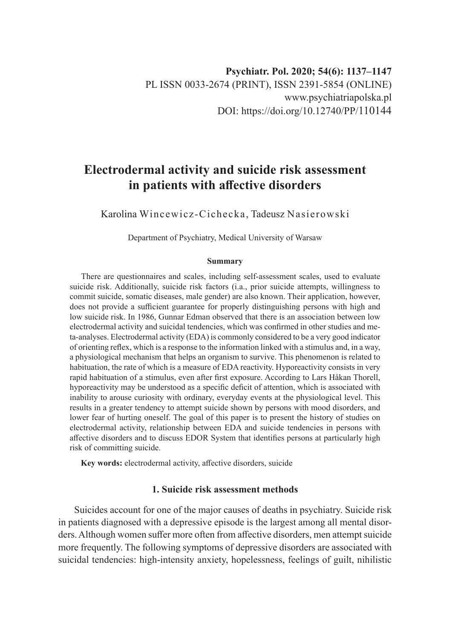# **Electrodermal activity and suicide risk assessment in patients with affective disorders**

Karolina Wincewicz-Cichecka, Tadeusz Nasierowski

Department of Psychiatry, Medical University of Warsaw

#### **Summary**

There are questionnaires and scales, including self-assessment scales, used to evaluate suicide risk. Additionally, suicide risk factors (i.a., prior suicide attempts, willingness to commit suicide, somatic diseases, male gender) are also known. Their application, however, does not provide a sufficient guarantee for properly distinguishing persons with high and low suicide risk. In 1986, Gunnar Edman observed that there is an association between low electrodermal activity and suicidal tendencies, which was confirmed in other studies and meta-analyses. Electrodermal activity (EDA) is commonly considered to be a very good indicator of orienting reflex, which is a response to the information linked with a stimulus and, in a way, a physiological mechanism that helps an organism to survive. This phenomenon is related to habituation, the rate of which is a measure of EDA reactivity. Hyporeactivity consists in very rapid habituation of a stimulus, even after first exposure. According to Lars Håkan Thorell, hyporeactivity may be understood as a specific deficit of attention, which is associated with inability to arouse curiosity with ordinary, everyday events at the physiological level. This results in a greater tendency to attempt suicide shown by persons with mood disorders, and lower fear of hurting oneself. The goal of this paper is to present the history of studies on electrodermal activity, relationship between EDA and suicide tendencies in persons with affective disorders and to discuss EDOR System that identifies persons at particularly high risk of committing suicide.

**Key words:** electrodermal activity, affective disorders, suicide

# **1. Suicide risk assessment methods**

Suicides account for one of the major causes of deaths in psychiatry. Suicide risk in patients diagnosed with a depressive episode is the largest among all mental disorders. Although women suffer more often from affective disorders, men attempt suicide more frequently. The following symptoms of depressive disorders are associated with suicidal tendencies: high-intensity anxiety, hopelessness, feelings of guilt, nihilistic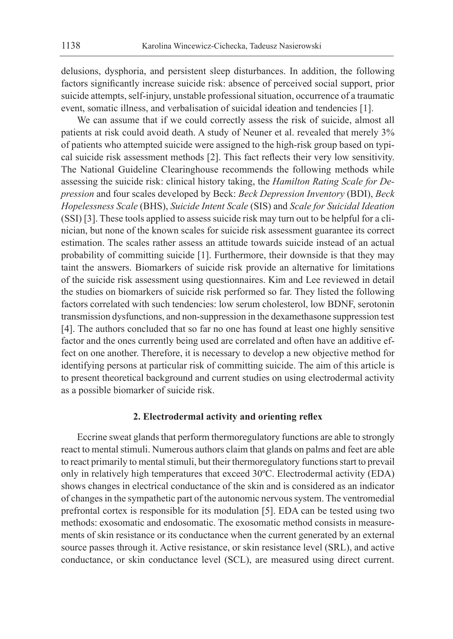delusions, dysphoria, and persistent sleep disturbances. In addition, the following factors significantly increase suicide risk: absence of perceived social support, prior suicide attempts, self-injury, unstable professional situation, occurrence of a traumatic event, somatic illness, and verbalisation of suicidal ideation and tendencies [1].

We can assume that if we could correctly assess the risk of suicide, almost all patients at risk could avoid death. A study of Neuner et al. revealed that merely 3% of patients who attempted suicide were assigned to the high-risk group based on typical suicide risk assessment methods [2]. This fact reflects their very low sensitivity. The National Guideline Clearinghouse recommends the following methods while assessing the suicide risk: clinical history taking, the *Hamilton Rating Scale for Depression* and four scales developed by Beck: *Beck Depression Inventory* (BDI), *Beck Hopelessness Scale* (BHS), *Suicide Intent Scale* (SIS) and *Scale for Suicidal Ideation* (SSI) [3]. These tools applied to assess suicide risk may turn out to be helpful for a clinician, but none of the known scales for suicide risk assessment guarantee its correct estimation. The scales rather assess an attitude towards suicide instead of an actual probability of committing suicide [1]. Furthermore, their downside is that they may taint the answers. Biomarkers of suicide risk provide an alternative for limitations of the suicide risk assessment using questionnaires. Kim and Lee reviewed in detail the studies on biomarkers of suicide risk performed so far. They listed the following factors correlated with such tendencies: low serum cholesterol, low BDNF, serotonin transmission dysfunctions, and non-suppression in the dexamethasone suppression test [4]. The authors concluded that so far no one has found at least one highly sensitive factor and the ones currently being used are correlated and often have an additive effect on one another. Therefore, it is necessary to develop a new objective method for identifying persons at particular risk of committing suicide. The aim of this article is to present theoretical background and current studies on using electrodermal activity as a possible biomarker of suicide risk.

#### **2. Electrodermal activity and orienting reflex**

Eccrine sweat glands that perform thermoregulatory functions are able to strongly react to mental stimuli. Numerous authors claim that glands on palms and feet are able to react primarily to mental stimuli, but their thermoregulatory functions start to prevail only in relatively high temperatures that exceed 30ºC. Electrodermal activity (EDA) shows changes in electrical conductance of the skin and is considered as an indicator of changes in the sympathetic part of the autonomic nervous system. The ventromedial prefrontal cortex is responsible for its modulation [5]. EDA can be tested using two methods: exosomatic and endosomatic. The exosomatic method consists in measurements of skin resistance or its conductance when the current generated by an external source passes through it. Active resistance, or skin resistance level (SRL), and active conductance, or skin conductance level (SCL), are measured using direct current.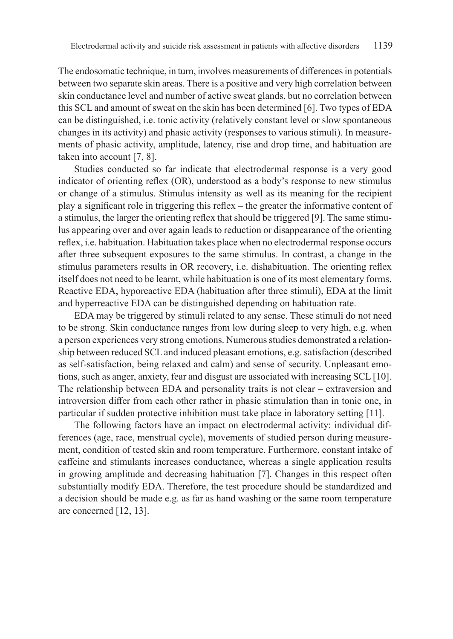The endosomatic technique, in turn, involves measurements of differences in potentials between two separate skin areas. There is a positive and very high correlation between skin conductance level and number of active sweat glands, but no correlation between this SCL and amount of sweat on the skin has been determined [6]. Two types of EDA can be distinguished, i.e. tonic activity (relatively constant level or slow spontaneous changes in its activity) and phasic activity (responses to various stimuli). In measurements of phasic activity, amplitude, latency, rise and drop time, and habituation are taken into account [7, 8].

Studies conducted so far indicate that electrodermal response is a very good indicator of orienting reflex (OR), understood as a body's response to new stimulus or change of a stimulus. Stimulus intensity as well as its meaning for the recipient play a significant role in triggering this reflex – the greater the informative content of a stimulus, the larger the orienting reflex that should be triggered [9]. The same stimulus appearing over and over again leads to reduction or disappearance of the orienting reflex, i.e. habituation. Habituation takes place when no electrodermal response occurs after three subsequent exposures to the same stimulus. In contrast, a change in the stimulus parameters results in OR recovery, i.e. dishabituation. The orienting reflex itself does not need to be learnt, while habituation is one of its most elementary forms. Reactive EDA, hyporeactive EDA (habituation after three stimuli), EDA at the limit and hyperreactive EDA can be distinguished depending on habituation rate.

EDA may be triggered by stimuli related to any sense. These stimuli do not need to be strong. Skin conductance ranges from low during sleep to very high, e.g. when a person experiences very strong emotions. Numerous studies demonstrated a relationship between reduced SCL and induced pleasant emotions, e.g. satisfaction (described as self-satisfaction, being relaxed and calm) and sense of security. Unpleasant emotions, such as anger, anxiety, fear and disgust are associated with increasing SCL [10]. The relationship between EDA and personality traits is not clear – extraversion and introversion differ from each other rather in phasic stimulation than in tonic one, in particular if sudden protective inhibition must take place in laboratory setting [11].

The following factors have an impact on electrodermal activity: individual differences (age, race, menstrual cycle), movements of studied person during measurement, condition of tested skin and room temperature. Furthermore, constant intake of caffeine and stimulants increases conductance, whereas a single application results in growing amplitude and decreasing habituation [7]. Changes in this respect often substantially modify EDA. Therefore, the test procedure should be standardized and a decision should be made e.g. as far as hand washing or the same room temperature are concerned [12, 13].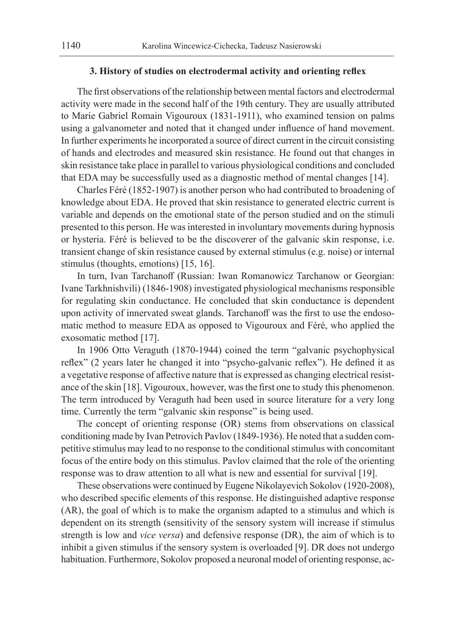## **3. History of studies on electrodermal activity and orienting reflex**

The first observations of the relationship between mental factors and electrodermal activity were made in the second half of the 19th century. They are usually attributed to Marie Gabriel Romain Vigouroux (1831-1911), who examined tension on palms using a galvanometer and noted that it changed under influence of hand movement. In further experiments he incorporated a source of direct current in the circuit consisting of hands and electrodes and measured skin resistance. He found out that changes in skin resistance take place in parallel to various physiological conditions and concluded that EDA may be successfully used as a diagnostic method of mental changes [14].

Charles Féré (1852-1907) is another person who had contributed to broadening of knowledge about EDA. He proved that skin resistance to generated electric current is variable and depends on the emotional state of the person studied and on the stimuli presented to this person. He was interested in involuntary movements during hypnosis or hysteria. Féré is believed to be the discoverer of the galvanic skin response, i.e. transient change of skin resistance caused by external stimulus (e.g. noise) or internal stimulus (thoughts, emotions) [15, 16].

In turn, Ivan Tarchanoff (Russian: Iwan Romanowicz Tarchanow or Georgian: Ivane Tarkhnishvili) (1846-1908) investigated physiological mechanisms responsible for regulating skin conductance. He concluded that skin conductance is dependent upon activity of innervated sweat glands. Tarchanoff was the first to use the endosomatic method to measure EDA as opposed to Vigouroux and Féré, who applied the exosomatic method [17].

In 1906 Otto Veraguth (1870-1944) coined the term "galvanic psychophysical reflex" (2 years later he changed it into "psycho-galvanic reflex"). He defined it as a vegetative response of affective nature that is expressed as changing electrical resistance of the skin [18]. Vigouroux, however, was the first one to study this phenomenon. The term introduced by Veraguth had been used in source literature for a very long time. Currently the term "galvanic skin response" is being used.

The concept of orienting response (OR) stems from observations on classical conditioning made by Ivan Petrovich Pavlov (1849-1936). He noted that a sudden competitive stimulus may lead to no response to the conditional stimulus with concomitant focus of the entire body on this stimulus. Pavlov claimed that the role of the orienting response was to draw attention to all what is new and essential for survival [19].

These observations were continued by Eugene Nikolayevich Sokolov (1920-2008), who described specific elements of this response. He distinguished adaptive response (AR), the goal of which is to make the organism adapted to a stimulus and which is dependent on its strength (sensitivity of the sensory system will increase if stimulus strength is low and *vice versa*) and defensive response (DR), the aim of which is to inhibit a given stimulus if the sensory system is overloaded [9]. DR does not undergo habituation. Furthermore, Sokolov proposed a neuronal model of orienting response, ac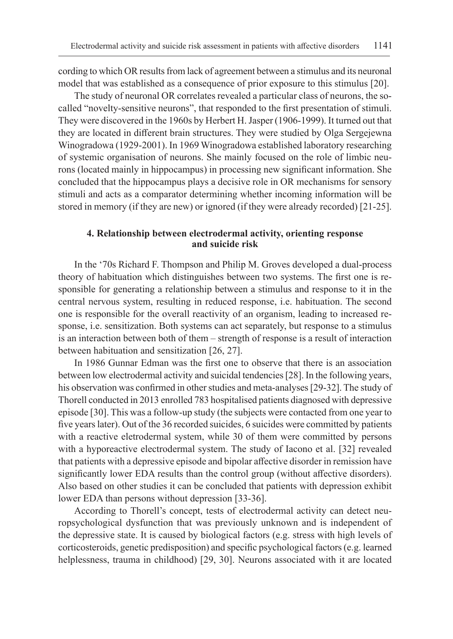cording to which OR results from lack of agreement between a stimulus and its neuronal model that was established as a consequence of prior exposure to this stimulus [20].

The study of neuronal OR correlates revealed a particular class of neurons, the socalled "novelty-sensitive neurons", that responded to the first presentation of stimuli. They were discovered in the 1960s by Herbert H. Jasper (1906-1999). It turned out that they are located in different brain structures. They were studied by Olga Sergejewna Winogradowa (1929-2001). In 1969 Winogradowa established laboratory researching of systemic organisation of neurons. She mainly focused on the role of limbic neurons (located mainly in hippocampus) in processing new significant information. She concluded that the hippocampus plays a decisive role in OR mechanisms for sensory stimuli and acts as a comparator determining whether incoming information will be stored in memory (if they are new) or ignored (if they were already recorded) [21-25].

# **4. Relationship between electrodermal activity, orienting response and suicide risk**

In the '70s Richard F. Thompson and Philip M. Groves developed a dual-process theory of habituation which distinguishes between two systems. The first one is responsible for generating a relationship between a stimulus and response to it in the central nervous system, resulting in reduced response, i.e. habituation. The second one is responsible for the overall reactivity of an organism, leading to increased response, i.e. sensitization. Both systems can act separately, but response to a stimulus is an interaction between both of them – strength of response is a result of interaction between habituation and sensitization [26, 27].

In 1986 Gunnar Edman was the first one to observe that there is an association between low electrodermal activity and suicidal tendencies [28]. In the following years, his observation was confirmed in other studies and meta-analyses [29-32]. The study of Thorell conducted in 2013 enrolled 783 hospitalised patients diagnosed with depressive episode [30]. This was a follow-up study (the subjects were contacted from one year to five years later). Out of the 36 recorded suicides, 6 suicides were committed by patients with a reactive eletrodermal system, while 30 of them were committed by persons with a hyporeactive electrodermal system. The study of Iacono et al. [32] revealed that patients with a depressive episode and bipolar affective disorder in remission have significantly lower EDA results than the control group (without affective disorders). Also based on other studies it can be concluded that patients with depression exhibit lower EDA than persons without depression [33-36].

According to Thorell's concept, tests of electrodermal activity can detect neuropsychological dysfunction that was previously unknown and is independent of the depressive state. It is caused by biological factors (e.g. stress with high levels of corticosteroids, genetic predisposition) and specific psychological factors (e.g. learned helplessness, trauma in childhood) [29, 30]. Neurons associated with it are located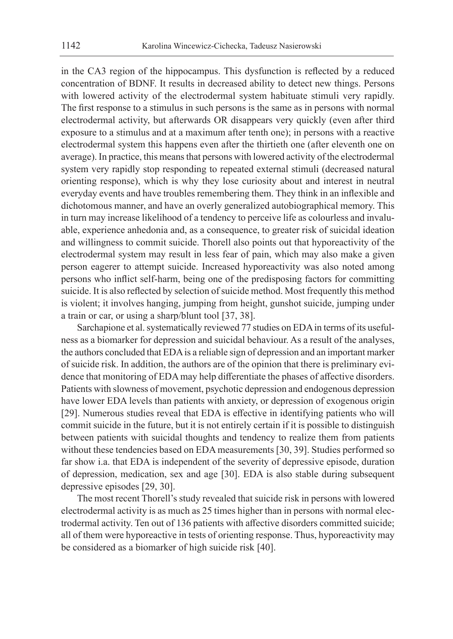in the CA3 region of the hippocampus. This dysfunction is reflected by a reduced concentration of BDNF. It results in decreased ability to detect new things. Persons with lowered activity of the electrodermal system habituate stimuli very rapidly. The first response to a stimulus in such persons is the same as in persons with normal electrodermal activity, but afterwards OR disappears very quickly (even after third exposure to a stimulus and at a maximum after tenth one); in persons with a reactive electrodermal system this happens even after the thirtieth one (after eleventh one on average). In practice, this means that persons with lowered activity of the electrodermal system very rapidly stop responding to repeated external stimuli (decreased natural orienting response), which is why they lose curiosity about and interest in neutral everyday events and have troubles remembering them. They think in an inflexible and dichotomous manner, and have an overly generalized autobiographical memory. This in turn may increase likelihood of a tendency to perceive life as colourless and invaluable, experience anhedonia and, as a consequence, to greater risk of suicidal ideation and willingness to commit suicide. Thorell also points out that hyporeactivity of the electrodermal system may result in less fear of pain, which may also make a given person eagerer to attempt suicide. Increased hyporeactivity was also noted among persons who inflict self-harm, being one of the predisposing factors for committing suicide. It is also reflected by selection of suicide method. Most frequently this method is violent; it involves hanging, jumping from height, gunshot suicide, jumping under a train or car, or using a sharp/blunt tool [37, 38].

Sarchapione et al. systematically reviewed 77 studies on EDA in terms of its usefulness as a biomarker for depression and suicidal behaviour. As a result of the analyses, the authors concluded that EDA is a reliable sign of depression and an important marker of suicide risk. In addition, the authors are of the opinion that there is preliminary evidence that monitoring of EDA may help differentiate the phases of affective disorders. Patients with slowness of movement, psychotic depression and endogenous depression have lower EDA levels than patients with anxiety, or depression of exogenous origin [29]. Numerous studies reveal that EDA is effective in identifying patients who will commit suicide in the future, but it is not entirely certain if it is possible to distinguish between patients with suicidal thoughts and tendency to realize them from patients without these tendencies based on EDA measurements [30, 39]. Studies performed so far show i.a. that EDA is independent of the severity of depressive episode, duration of depression, medication, sex and age [30]. EDA is also stable during subsequent depressive episodes [29, 30].

The most recent Thorell's study revealed that suicide risk in persons with lowered electrodermal activity is as much as 25 times higher than in persons with normal electrodermal activity. Ten out of 136 patients with affective disorders committed suicide; all of them were hyporeactive in tests of orienting response. Thus, hyporeactivity may be considered as a biomarker of high suicide risk [40].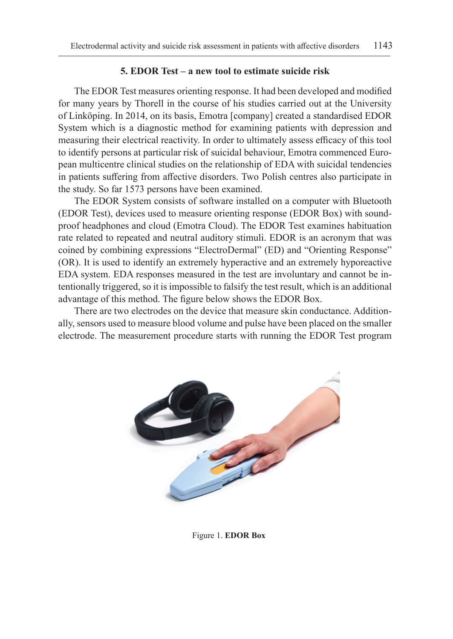## **5. EDOR Test – a new tool to estimate suicide risk**

The EDOR Test measures orienting response. It had been developed and modified for many years by Thorell in the course of his studies carried out at the University of Linköping. In 2014, on its basis, Emotra [company] created a standardised EDOR System which is a diagnostic method for examining patients with depression and measuring their electrical reactivity. In order to ultimately assess efficacy of this tool to identify persons at particular risk of suicidal behaviour, Emotra commenced European multicentre clinical studies on the relationship of EDA with suicidal tendencies in patients suffering from affective disorders. Two Polish centres also participate in the study. So far 1573 persons have been examined.

The EDOR System consists of software installed on a computer with Bluetooth (EDOR Test), devices used to measure orienting response (EDOR Box) with soundproof headphones and cloud (Emotra Cloud). The EDOR Test examines habituation rate related to repeated and neutral auditory stimuli. EDOR is an acronym that was coined by combining expressions "ElectroDermal" (ED) and "Orienting Response" (OR). It is used to identify an extremely hyperactive and an extremely hyporeactive EDA system. EDA responses measured in the test are involuntary and cannot be intentionally triggered, so it is impossible to falsify the test result, which is an additional advantage of this method. The figure below shows the EDOR Box.

There are two electrodes on the device that measure skin conductance. Additionally, sensors used to measure blood volume and pulse have been placed on the smaller electrode. The measurement procedure starts with running the EDOR Test program



Figure 1. **EDOR Box**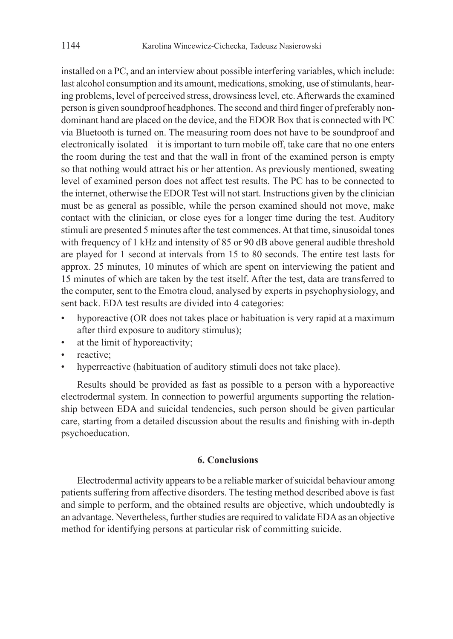installed on a PC, and an interview about possible interfering variables, which include: last alcohol consumption and its amount, medications, smoking, use of stimulants, hearing problems, level of perceived stress, drowsiness level, etc. Afterwards the examined person is given soundproof headphones. The second and third finger of preferably nondominant hand are placed on the device, and the EDOR Box that is connected with PC via Bluetooth is turned on. The measuring room does not have to be soundproof and electronically isolated – it is important to turn mobile off, take care that no one enters the room during the test and that the wall in front of the examined person is empty so that nothing would attract his or her attention. As previously mentioned, sweating level of examined person does not affect test results. The PC has to be connected to the internet, otherwise the EDOR Test will not start. Instructions given by the clinician must be as general as possible, while the person examined should not move, make contact with the clinician, or close eyes for a longer time during the test. Auditory stimuli are presented 5 minutes after the test commences. At that time, sinusoidal tones with frequency of 1 kHz and intensity of 85 or 90 dB above general audible threshold are played for 1 second at intervals from 15 to 80 seconds. The entire test lasts for approx. 25 minutes, 10 minutes of which are spent on interviewing the patient and 15 minutes of which are taken by the test itself. After the test, data are transferred to the computer, sent to the Emotra cloud, analysed by experts in psychophysiology, and sent back. EDA test results are divided into 4 categories:

- hyporeactive (OR does not takes place or habituation is very rapid at a maximum after third exposure to auditory stimulus);
- at the limit of hyporeactivity;
- reactive:
- hyperreactive (habituation of auditory stimuli does not take place).

Results should be provided as fast as possible to a person with a hyporeactive electrodermal system. In connection to powerful arguments supporting the relationship between EDA and suicidal tendencies, such person should be given particular care, starting from a detailed discussion about the results and finishing with in-depth psychoeducation.

# **6. Conclusions**

Electrodermal activity appears to be a reliable marker of suicidal behaviour among patients suffering from affective disorders. The testing method described above is fast and simple to perform, and the obtained results are objective, which undoubtedly is an advantage. Nevertheless, further studies are required to validate EDA as an objective method for identifying persons at particular risk of committing suicide.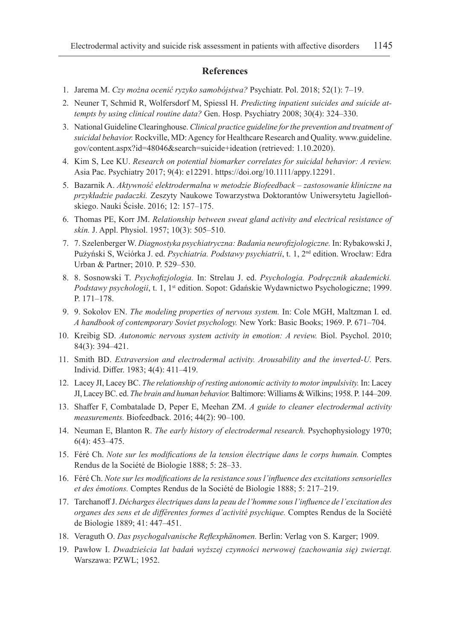#### **References**

- 1. Jarema M. *Czy można ocenić ryzyko samobójstwa?* Psychiatr. Pol. 2018; 52(1): 7–19.
- 2. Neuner T, Schmid R, Wolfersdorf M, Spiessl H. *Predicting inpatient suicides and suicide attempts by using clinical routine data?* Gen. Hosp. Psychiatry 2008; 30(4): 324–330.
- 3. National Guideline Clearinghouse. *Clinical practice guideline for the prevention and treatment of suicidal behavior.* Rockville, MD: Agency for Healthcare Research and Quality. www.guideline. gov/content.aspx?id=48046&search=suicide+ideation (retrieved: 1.10.2020).
- 4. Kim S, Lee KU. *Research on potential biomarker correlates for suicidal behavior: A review.* Asia Pac. Psychiatry 2017; 9(4): e12291. https://doi.org/10.1111/appy.12291.
- 5. Bazarnik A. *Aktywność elektrodermalna w metodzie Biofeedback zastosowanie kliniczne na przykładzie padaczki.* Zeszyty Naukowe Towarzystwa Doktorantów Uniwersytetu Jagiellońskiego. Nauki Ścisłe. 2016; 12: 157–175.
- 6. Thomas PE, Korr JM. *Relationship between sweat gland activity and electrical resistance of skin.* J. Appl. Physiol. 1957; 10(3): 505–510.
- 7. 7. Szelenberger W. *Diagnostyka psychiatryczna: Badania neurofizjologiczne.* In: RybakowskiJ, Pużyński S, Wciórka J. ed. *Psychiatria. Podstawy psychiatrii*, t. 1, 2nd edition. Wrocław: Edra Urban & Partner; 2010. P. 529–530.
- 8. 8. Sosnowski T. *Psychofizjologia.* In: Strelau J. ed. *Psychologia. Podręcznik akademicki.*  Podstawy psychologii, t. 1, 1<sup>st</sup> edition. Sopot: Gdańskie Wydawnictwo Psychologiczne; 1999. P. 171–178.
- 9. 9. Sokolov EN. *The modeling properties of nervous system.* In: Cole MGH, Maltzman I. ed. *A handbook of contemporary Soviet psychology.* New York: Basic Books; 1969. P. 671–704.
- 10. Kreibig SD. *Autonomic nervous system activity in emotion: A review.* Biol. Psychol. 2010; 84(3): 394–421.
- 11. Smith BD. *Extraversion and electrodermal activity. Arousability and the inverted-U.* Pers. Individ. Differ. 1983; 4(4): 411–419.
- 12. Lacey JI, Lacey BC. *The relationship of resting autonomic activity to motor impulsivity.* In: Lacey JI, Lacey BC. ed. *The brain and human behavior.* Baltimore: Williams & Wilkins; 1958. P. 144–209.
- 13. Shaffer F, Combatalade D, Peper E, Meehan ZM. *A guide to cleaner electrodermal activity measurements.* Biofeedback. 2016; 44(2): 90–100.
- 14. Neuman E, Blanton R. *The early history of electrodermal research.* Psychophysiology 1970; 6(4): 453–475.
- 15. Féré Ch. *Note sur les modifications de la tension électrique dans le corps humain.* Comptes Rendus de la Société de Biologie 1888; 5: 28–33.
- 16. Féré Ch. *Note sur les modifications de la resistance sous l'influence des excitations sensorielles et des émotions.* Comptes Rendus de la Société de Biologie 1888; 5: 217–219.
- 17. Tarchanoff J. *Décharges électriques dans la peau de l'homme sous l'influence de l'excitation des organes des sens et de différentes formes d'activité psychique.* Comptes Rendus de la Société de Biologie 1889; 41: 447–451.
- 18. Veraguth O. *Das psychogalvanische Reflexphänomen.* Berlin: Verlag von S. Karger; 1909.
- 19. Pawłow I. *Dwadzieścia lat badań wyższej czynności nerwowej (zachowania się) zwierząt.* Warszawa: PZWL; 1952.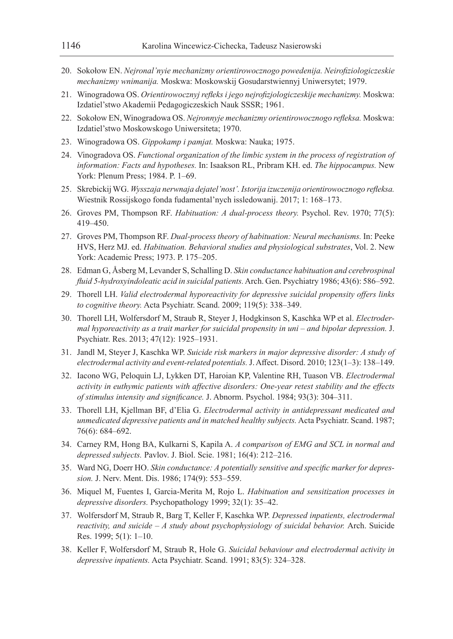- 20. Sokołow EN. *Nejronal'nyie mechanizmy orientirowocznogo powedenija. Neirofiziologiczeskie mechanizmy wnimanija.* Moskwa: Moskowskij Gosudarstwiennyj Uniwersytet; 1979.
- 21. Winogradowa ОS. *Orientirowocznyj refleks i jego nejrofizjologiczeskije mechanizmy.* Moskwa: Izdatiel'stwo Akademii Pedagogiczeskich Nauk SSSR; 1961.
- 22. Sokołow EN, Winogradowa OS. *Nejronnyje mechanizmy orientirowocznogo refleksa.* Moskwa: Izdatiel'stwo Moskowskogo Uniwersiteta; 1970.
- 23. Winogradowa OS. *Gippokamp i pamjat.* Moskwa: Nauka; 1975.
- 24. Vinogradova OS. *Functional organization of the limbic system in the process of registration of information: Facts and hypotheses.* In: Isaakson RL, Pribram KH. ed. *The hippocampus.* New York: Plenum Press; 1984. P. 1–69.
- 25. Skrebickij WG. *Wysszaja nerwnaja dejatel'nost'. Istorija izuczenija orientirowocznogo refleksa.*  Wiestnik Rossijskogo fonda fudamental'nych issledowanij. 2017; 1: 168–173.
- 26. Groves PM, Thompson RF. *Habituation: A dual-process theory.* Psychol. Rev. 1970; 77(5): 419–450.
- 27. Groves PM, Thompson RF. *Dual-process theory of habituation: Neural mechanisms.* In: Peeke HVS, Herz MJ. ed. *Habituation. Behavioral studies and physiological substrates*, Vol. 2. New York: Academic Press; 1973. P. 175–205.
- 28. Edman G, Åsberg M, Levander S, Schalling D. *Skin conductance habituation and cerebrospinal fluid 5-hydroxyindoleatic acid in suicidal patients.* Arch. Gen. Psychiatry 1986; 43(6): 586–592.
- 29. Thorell LH. *Valid electrodermal hyporeactivity for depressive suicidal propensity offers links to cognitive theory.* Acta Psychiatr. Scand. 2009; 119(5): 338–349.
- 30. Thorell LH, Wolfersdorf M, Straub R, Steyer J, Hodgkinson S, Kaschka WP et al. *Electrodermal hyporeactivity as a trait marker for suicidal propensity in uni – and bipolar depression.* J. Psychiatr. Res. 2013; 47(12): 1925–1931.
- 31. Jandl M, Steyer J, Kaschka WP. *Suicide risk markers in major depressive disorder: A study of electrodermal activity and event-related potentials.* J. Affect. Disord. 2010; 123(1–3): 138–149.
- 32. Iacono WG, Peloquin LJ, Lykken DT, Haroian KP, Valentine RH, Tuason VB. *Electrodermal activity in euthymic patients with affective disorders: One-year retest stability and the effects of stimulus intensity and significance.* J. Abnorm. Psychol. 1984; 93(3): 304–311.
- 33. Thorell LH, Kjellman BF, d'Elia G. *Electrodermal activity in antidepressant medicated and unmedicated depressive patients and in matched healthy subjects.* Acta Psychiatr. Scand. 1987; 76(6): 684–692.
- 34. Carney RM, Hong BA, Kulkarni S, Kapila A. *A comparison of EMG and SCL in normal and depressed subjects.* Pavlov. J. Biol. Scie. 1981; 16(4): 212–216.
- 35. Ward NG, Doerr HO. *Skin conductance: A potentially sensitive and specific marker for depression.* J. Nerv. Ment. Dis. 1986; 174(9): 553–559.
- 36. Miquel M, Fuentes I, Garcia-Merita M, Rojo L. *Habituation and sensitization processes in depressive disorders.* Psychopathology 1999; 32(1): 35–42.
- 37. Wolfersdorf M, Straub R, Barg T, Keller F, Kaschka WP. *Depressed inpatients, electrodermal reactivity, and suicide – A study about psychophysiology of suicidal behavior.* Arch. Suicide Res. 1999; 5(1): 1–10.
- 38. Keller F, Wolfersdorf M, Straub R, Hole G. *Suicidal behaviour and electrodermal activity in depressive inpatients.* Acta Psychiatr. Scand. 1991; 83(5): 324–328.